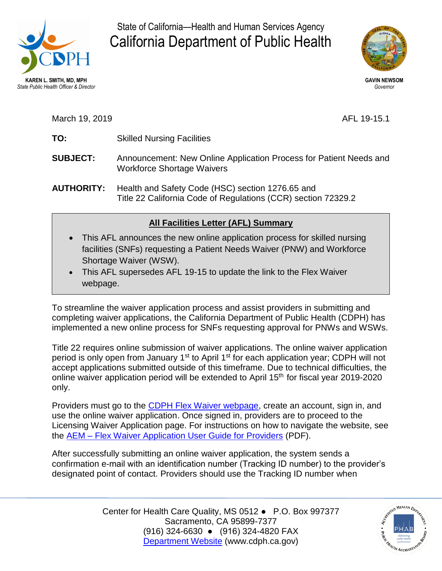

State of California—Health and Human Services Agency<br>California Department of Public Health California Department of Public Health



March 19, 2019 **AFL 19-15.1** 

- **TO:** Skilled Nursing Facilities
- **SUBJECT:** Announcement: New Online Application Process for Patient Needs and Workforce Shortage Waivers
- **AUTHORITY:** Health and Safety Code (HSC) section 1276.65 and Title 22 California Code of Regulations (CCR) section 72329.2

## **All Facilities Letter (AFL) Summary**

- This AFL announces the new online application process for skilled nursing facilities (SNFs) requesting a Patient Needs Waiver (PNW) and Workforce Shortage Waiver (WSW).
- This AFL supersedes AFL 19-15 to update the link to the Flex Waiver webpage.

To streamline the waiver application process and assist providers in submitting and completing waiver applications, the California Department of Public Health (CDPH) has implemented a new online process for SNFs requesting approval for PNWs and WSWs.

 Title 22 requires online submission of waiver applications. The online waiver application accept applications submitted outside of this timeframe. Due to technical difficulties, the online waiver application period will be extended to April 15<sup>th</sup> for fiscal year 2019-2020 period is only open from January 1<sup>st</sup> to April 1<sup>st</sup> for each application year; CDPH will not only.

Providers must go to the [CDPH Flex Waiver webpage,](https://eforms.cdph.ca.gov/) create an account, sign in, and use the online waiver application. Once signed in, providers are to proceed to the Licensing Waiver Application page. For instructions on how to navigate the website, see the AEM – [Flex Waiver Application User Guide for Providers](https://www.cdph.ca.gov/Programs/CHCQ/LCP/CDPH%20Document%20Library/AEM_Flex-Waiver_Application-User-Guide.pdf) (PDF).

After successfully submitting an online waiver application, the system sends a confirmation e-mail with an identification number (Tracking ID number) to the provider's designated point of contact. Providers should use the Tracking ID number when

> Center for Health Care Quality, MS 0512 ● P.O. Box 997377 (916) 324-6630 ● (916) 324-4820 FAX Sacramento, CA 95899-7377 [Department Website](http://www.cdph.ca.gov/) [\(www.cdph.ca.gov](www.cdph.ca.gov))